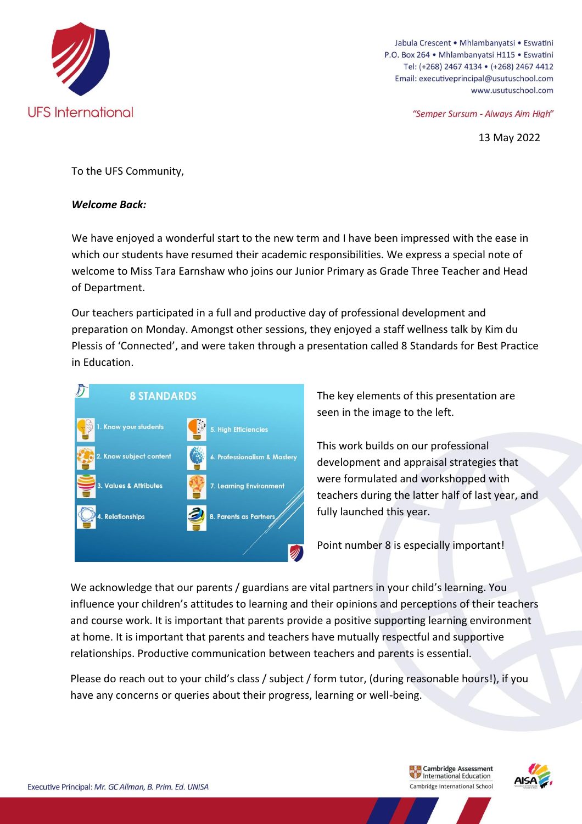

Jabula Crescent • Mhlambanyatsi • Eswatini P.O. Box 264 · Mhlambanyatsi H115 · Eswatini Tel: (+268) 2467 4134 · (+268) 2467 4412 Email: executiveprincipal@usutuschool.com www.usutuschool.com

"Semper Sursum - Always Aim High"

13 May 2022

To the UFS Community,

#### *Welcome Back:*

We have enjoyed a wonderful start to the new term and I have been impressed with the ease in which our students have resumed their academic responsibilities. We express a special note of welcome to Miss Tara Earnshaw who joins our Junior Primary as Grade Three Teacher and Head of Department.

Our teachers participated in a full and productive day of professional development and preparation on Monday. Amongst other sessions, they enjoyed a staff wellness talk by Kim du Plessis of 'Connected', and were taken through a presentation called 8 Standards for Best Practice in Education.



The key elements of this presentation are seen in the image to the left.

This work builds on our professional development and appraisal strategies that were formulated and workshopped with teachers during the latter half of last year, and fully launched this year.

Point number 8 is especially important!

We acknowledge that our parents / guardians are vital partners in your child's learning. You influence your children's attitudes to learning and their opinions and perceptions of their teachers and course work. It is important that parents provide a positive supporting learning environment at home. It is important that parents and teachers have mutually respectful and supportive relationships. Productive communication between teachers and parents is essential.

Please do reach out to your child's class / subject / form tutor, (during reasonable hours!), if you have any concerns or queries about their progress, learning or well-being.

> **Example 2** Cambridge Assessment<br> **Combridge International Education** Cambridge Assessment Cambridge International School

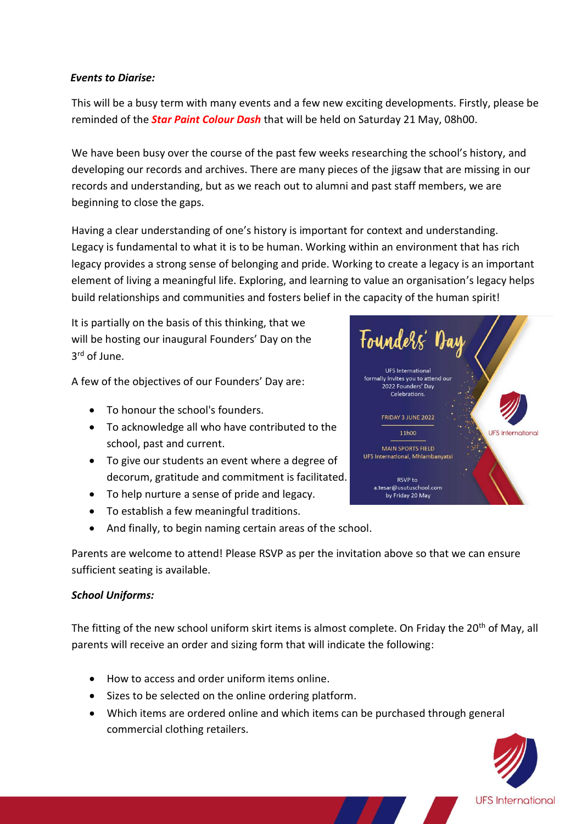#### *Events to Diarise:*

This will be a busy term with many events and a few new exciting developments. Firstly, please be reminded of the *Star Paint Colour Dash* that will be held on Saturday 21 May, 08h00.

We have been busy over the course of the past few weeks researching the school's history, and developing our records and archives. There are many pieces of the jigsaw that are missing in our records and understanding, but as we reach out to alumni and past staff members, we are beginning to close the gaps.

Having a clear understanding of one's history is important for context and understanding. Legacy is fundamental to what it is to be human. Working within an environment that has rich legacy provides a strong sense of belonging and pride. Working to create a legacy is an important element of living a meaningful life. Exploring, and learning to value an organisation's legacy helps build relationships and communities and fosters belief in the capacity of the human spirit!

It is partially on the basis of this thinking, that we will be hosting our inaugural Founders' Day on the 3 rd of June.

A few of the objectives of our Founders' Day are:

- To honour the school's founders.
- To acknowledge all who have contributed to the school, past and current.
- To give our students an event where a degree of decorum, gratitude and commitment is facilitated.
- To help nurture a sense of pride and legacy.
- To establish a few meaningful traditions.
- And finally, to begin naming certain areas of the school.

Parents are welcome to attend! Please RSVP as per the invitation above so that we can ensure sufficient seating is available.

### *School Uniforms:*

The fitting of the new school uniform skirt items is almost complete. On Friday the 20<sup>th</sup> of May, all parents will receive an order and sizing form that will indicate the following:

- How to access and order uniform items online.
- Sizes to be selected on the online ordering platform.
- Which items are ordered online and which items can be purchased through general commercial clothing retailers.



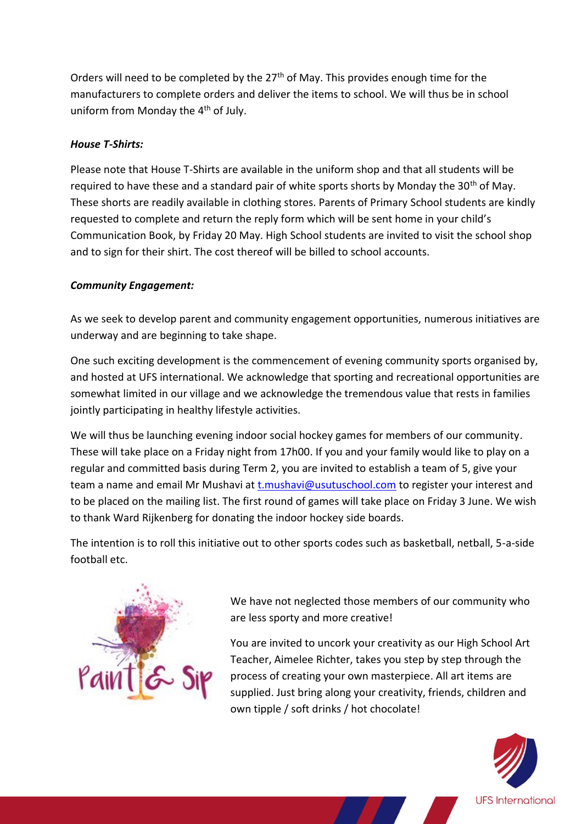Orders will need to be completed by the  $27<sup>th</sup>$  of May. This provides enough time for the manufacturers to complete orders and deliver the items to school. We will thus be in school uniform from Monday the 4<sup>th</sup> of July.

## *House T-Shirts:*

Please note that House T-Shirts are available in the uniform shop and that all students will be required to have these and a standard pair of white sports shorts by Monday the 30<sup>th</sup> of May. These shorts are readily available in clothing stores. Parents of Primary School students are kindly requested to complete and return the reply form which will be sent home in your child's Communication Book, by Friday 20 May. High School students are invited to visit the school shop and to sign for their shirt. The cost thereof will be billed to school accounts.

# *Community Engagement:*

As we seek to develop parent and community engagement opportunities, numerous initiatives are underway and are beginning to take shape.

One such exciting development is the commencement of evening community sports organised by, and hosted at UFS international. We acknowledge that sporting and recreational opportunities are somewhat limited in our village and we acknowledge the tremendous value that rests in families jointly participating in healthy lifestyle activities.

We will thus be launching evening indoor social hockey games for members of our community. These will take place on a Friday night from 17h00. If you and your family would like to play on a regular and committed basis during Term 2, you are invited to establish a team of 5, give your team a name and email Mr Mushavi at *t.mushavi@usutuschool.com* to register your interest and to be placed on the mailing list. The first round of games will take place on Friday 3 June. We wish to thank Ward Rijkenberg for donating the indoor hockey side boards.

The intention is to roll this initiative out to other sports codes such as basketball, netball, 5-a-side football etc.



We have not neglected those members of our community who are less sporty and more creative!

You are invited to uncork your creativity as our High School Art Teacher, Aimelee Richter, takes you step by step through the process of creating your own masterpiece. All art items are supplied. Just bring along your creativity, friends, children and own tipple / soft drinks / hot chocolate!